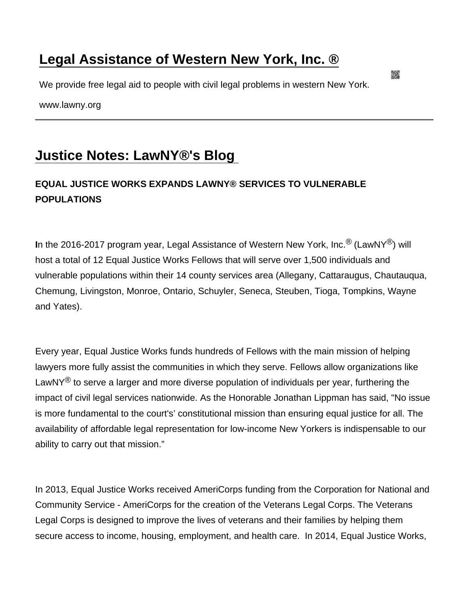## [Legal Assistance of Western New York, Inc. ®](https://www.lawny.org/)

We provide free legal aid to people with civil legal problems in western New York.

www.lawny.org

## [Justice Notes: LawNY®'s Blog](https://www.lawny.org/node/117/justice-notes-lawny®s-blog)

## EQUAL JUSTICE WORKS EXPANDS LAWNY® SERVICES TO VULNERABLE POPULATIONS

In the 2016-2017 program year, Legal Assistance of Western New York, Inc.<sup>®</sup> (LawNY<sup>®</sup>) will host a total of 12 Equal Justice Works Fellows that will serve over 1,500 individuals and vulnerable populations within their 14 county services area (Allegany, Cattaraugus, Chautauqua, Chemung, Livingston, Monroe, Ontario, Schuyler, Seneca, Steuben, Tioga, Tompkins, Wayne and Yates).

Every year, Equal Justice Works funds hundreds of Fellows with the main mission of helping lawyers more fully assist the communities in which they serve. Fellows allow organizations like LawNY<sup>®</sup> to serve a larger and more diverse population of individuals per year, furthering the impact of civil legal services nationwide. As the Honorable Jonathan Lippman has said, "No issue is more fundamental to the court's' constitutional mission than ensuring equal justice for all. The availability of affordable legal representation for low-income New Yorkers is indispensable to our ability to carry out that mission."

In 2013, Equal Justice Works received AmeriCorps funding from the Corporation for National and Community Service - AmeriCorps for the creation of the Veterans Legal Corps. The Veterans Legal Corps is designed to improve the lives of veterans and their families by helping them secure access to income, housing, employment, and health care. In 2014, Equal Justice Works,